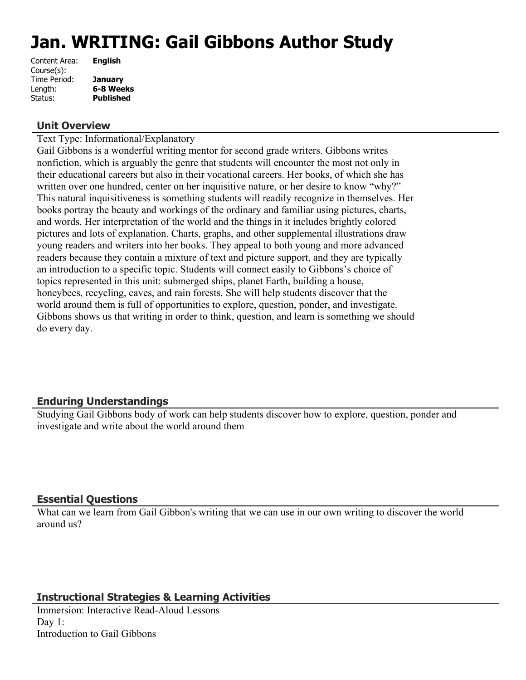# **Jan. WRITING: Gail Gibbons Author Study**

| Content Area: | <b>English</b>   |
|---------------|------------------|
| Course(s):    |                  |
| Time Period:  | <b>January</b>   |
| Length:       | 6-8 Weeks        |
| Status:       | <b>Published</b> |
|               |                  |

#### **Unit Overview**

Text Type: Informational/Explanatory

Gail Gibbons is a wonderful writing mentor for second grade writers. Gibbons writes nonfiction, which is arguably the genre that students will encounter the most not only in their educational careers but also in their vocational careers. Her books, of which she has written over one hundred, center on her inquisitive nature, or her desire to know "why?" This natural inquisitiveness is something students will readily recognize in themselves. Her books portray the beauty and workings of the ordinary and familiar using pictures, charts, and words. Her interpretation of the world and the things in it includes brightly colored pictures and lots of explanation. Charts, graphs, and other supplemental illustrations draw young readers and writers into her books. They appeal to both young and more advanced readers because they contain a mixture of text and picture support, and they are typically an introduction to a specific topic. Students will connect easily to Gibbons's choice of topics represented in this unit: submerged ships, planet Earth, building a house, honeybees, recycling, caves, and rain forests. She will help students discover that the world around them is full of opportunities to explore, question, ponder, and investigate. Gibbons shows us that writing in order to think, question, and learn is something we should do every day.

# **Enduring Understandings**

Studying Gail Gibbons body of work can help students discover how to explore, question, ponder and investigate and write about the world around them

# **Essential Questions**

What can we learn from Gail Gibbon's writing that we can use in our own writing to discover the world around us?

# **Instructional Strategies & Learning Activities**

Immersion: Interactive Read-Aloud Lessons Day 1: Introduction to Gail Gibbons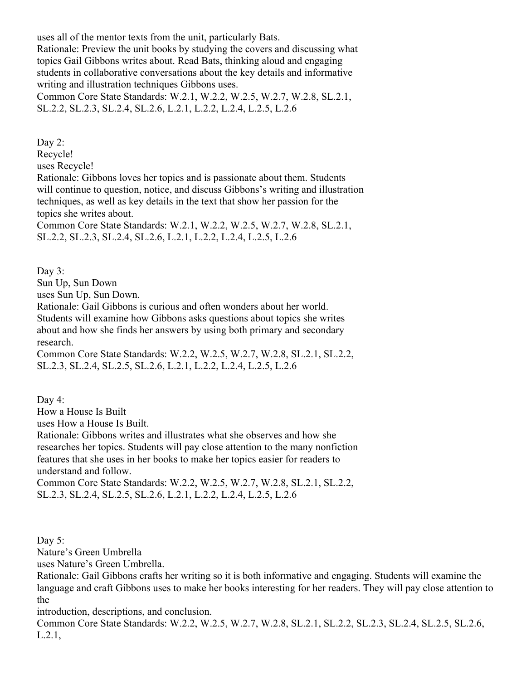uses all of the mentor texts from the unit, particularly Bats.

Rationale: Preview the unit books by studying the covers and discussing what topics Gail Gibbons writes about. Read Bats, thinking aloud and engaging students in collaborative conversations about the key details and informative writing and illustration techniques Gibbons uses.

Common Core State Standards: W.2.1, W.2.2, W.2.5, W.2.7, W.2.8, SL.2.1, SL.2.2, SL.2.3, SL.2.4, SL.2.6, L.2.1, L.2.2, L.2.4, L.2.5, L.2.6

Day 2:

Recycle!

uses Recycle!

Rationale: Gibbons loves her topics and is passionate about them. Students will continue to question, notice, and discuss Gibbons's writing and illustration techniques, as well as key details in the text that show her passion for the topics she writes about.

Common Core State Standards: W.2.1, W.2.2, W.2.5, W.2.7, W.2.8, SL.2.1, SL.2.2, SL.2.3, SL.2.4, SL.2.6, L.2.1, L.2.2, L.2.4, L.2.5, L.2.6

Day 3:

Sun Up, Sun Down

uses Sun Up, Sun Down.

Rationale: Gail Gibbons is curious and often wonders about her world. Students will examine how Gibbons asks questions about topics she writes about and how she finds her answers by using both primary and secondary research.

Common Core State Standards: W.2.2, W.2.5, W.2.7, W.2.8, SL.2.1, SL.2.2, SL.2.3, SL.2.4, SL.2.5, SL.2.6, L.2.1, L.2.2, L.2.4, L.2.5, L.2.6

Day 4:

How a House Is Built

uses How a House Is Built.

Rationale: Gibbons writes and illustrates what she observes and how she researches her topics. Students will pay close attention to the many nonfiction features that she uses in her books to make her topics easier for readers to understand and follow.

Common Core State Standards: W.2.2, W.2.5, W.2.7, W.2.8, SL.2.1, SL.2.2, SL.2.3, SL.2.4, SL.2.5, SL.2.6, L.2.1, L.2.2, L.2.4, L.2.5, L.2.6

Day 5:

Nature's Green Umbrella

uses Nature's Green Umbrella.

Rationale: Gail Gibbons crafts her writing so it is both informative and engaging. Students will examine the language and craft Gibbons uses to make her books interesting for her readers. They will pay close attention to the

introduction, descriptions, and conclusion.

Common Core State Standards: W.2.2, W.2.5, W.2.7, W.2.8, SL.2.1, SL.2.2, SL.2.3, SL.2.4, SL.2.5, SL.2.6, L.2.1,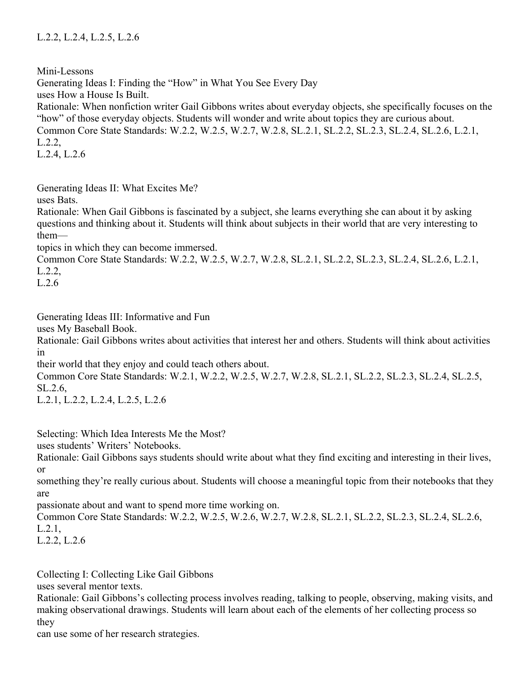Mini-Lessons Generating Ideas I: Finding the "How" in What You See Every Day uses How a House Is Built. Rationale: When nonfiction writer Gail Gibbons writes about everyday objects, she specifically focuses on the "how" of those everyday objects. Students will wonder and write about topics they are curious about. Common Core State Standards: W.2.2, W.2.5, W.2.7, W.2.8, SL.2.1, SL.2.2, SL.2.3, SL.2.4, SL.2.6, L.2.1, L.2.2, L.2.4, L.2.6

Generating Ideas II: What Excites Me?

uses Bats.

Rationale: When Gail Gibbons is fascinated by a subject, she learns everything she can about it by asking questions and thinking about it. Students will think about subjects in their world that are very interesting to them—

topics in which they can become immersed.

Common Core State Standards: W.2.2, W.2.5, W.2.7, W.2.8, SL.2.1, SL.2.2, SL.2.3, SL.2.4, SL.2.6, L.2.1, L.2.2,

L.2.6

Generating Ideas III: Informative and Fun

uses My Baseball Book.

Rationale: Gail Gibbons writes about activities that interest her and others. Students will think about activities in

their world that they enjoy and could teach others about.

Common Core State Standards: W.2.1, W.2.2, W.2.5, W.2.7, W.2.8, SL.2.1, SL.2.2, SL.2.3, SL.2.4, SL.2.5, SL.2.6,

L.2.1, L.2.2, L.2.4, L.2.5, L.2.6

Selecting: Which Idea Interests Me the Most?

uses students' Writers' Notebooks.

Rationale: Gail Gibbons says students should write about what they find exciting and interesting in their lives, or

something they're really curious about. Students will choose a meaningful topic from their notebooks that they are

passionate about and want to spend more time working on.

Common Core State Standards: W.2.2, W.2.5, W.2.6, W.2.7, W.2.8, SL.2.1, SL.2.2, SL.2.3, SL.2.4, SL.2.6, L.2.1,

L.2.2, L.2.6

Collecting I: Collecting Like Gail Gibbons

uses several mentor texts.

Rationale: Gail Gibbons's collecting process involves reading, talking to people, observing, making visits, and making observational drawings. Students will learn about each of the elements of her collecting process so they

can use some of her research strategies.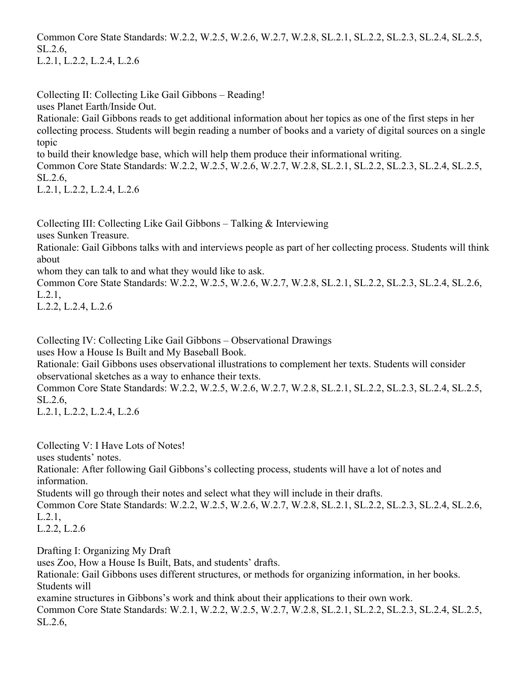Common Core State Standards: W.2.2, W.2.5, W.2.6, W.2.7, W.2.8, SL.2.1, SL.2.2, SL.2.3, SL.2.4, SL.2.5, SL.2.6, L.2.1, L.2.2, L.2.4, L.2.6

Collecting II: Collecting Like Gail Gibbons – Reading!

uses Planet Earth/Inside Out.

Rationale: Gail Gibbons reads to get additional information about her topics as one of the first steps in her collecting process. Students will begin reading a number of books and a variety of digital sources on a single topic

to build their knowledge base, which will help them produce their informational writing.

Common Core State Standards: W.2.2, W.2.5, W.2.6, W.2.7, W.2.8, SL.2.1, SL.2.2, SL.2.3, SL.2.4, SL.2.5, SL.2.6,

L.2.1, L.2.2, L.2.4, L.2.6

Collecting III: Collecting Like Gail Gibbons – Talking & Interviewing

uses Sunken Treasure.

Rationale: Gail Gibbons talks with and interviews people as part of her collecting process. Students will think about

whom they can talk to and what they would like to ask.

Common Core State Standards: W.2.2, W.2.5, W.2.6, W.2.7, W.2.8, SL.2.1, SL.2.2, SL.2.3, SL.2.4, SL.2.6, L.2.1,

L.2.2, L.2.4, L.2.6

Collecting IV: Collecting Like Gail Gibbons – Observational Drawings

uses How a House Is Built and My Baseball Book.

Rationale: Gail Gibbons uses observational illustrations to complement her texts. Students will consider observational sketches as a way to enhance their texts.

Common Core State Standards: W.2.2, W.2.5, W.2.6, W.2.7, W.2.8, SL.2.1, SL.2.2, SL.2.3, SL.2.4, SL.2.5, SL.2.6,

L.2.1, L.2.2, L.2.4, L.2.6

Collecting V: I Have Lots of Notes!

uses students' notes.

Rationale: After following Gail Gibbons's collecting process, students will have a lot of notes and information.

Students will go through their notes and select what they will include in their drafts.

Common Core State Standards: W.2.2, W.2.5, W.2.6, W.2.7, W.2.8, SL.2.1, SL.2.2, SL.2.3, SL.2.4, SL.2.6, L.2.1,

L.2.2, L.2.6

Drafting I: Organizing My Draft uses Zoo, How a House Is Built, Bats, and students' drafts. Rationale: Gail Gibbons uses different structures, or methods for organizing information, in her books. Students will examine structures in Gibbons's work and think about their applications to their own work. Common Core State Standards: W.2.1, W.2.2, W.2.5, W.2.7, W.2.8, SL.2.1, SL.2.2, SL.2.3, SL.2.4, SL.2.5, SL.2.6,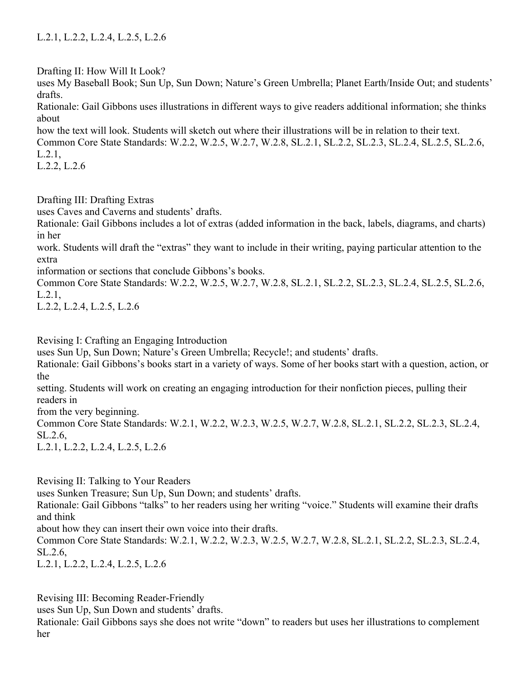Drafting II: How Will It Look?

uses My Baseball Book; Sun Up, Sun Down; Nature's Green Umbrella; Planet Earth/Inside Out; and students' drafts.

Rationale: Gail Gibbons uses illustrations in different ways to give readers additional information; she thinks about

how the text will look. Students will sketch out where their illustrations will be in relation to their text.

Common Core State Standards: W.2.2, W.2.5, W.2.7, W.2.8, SL.2.1, SL.2.2, SL.2.3, SL.2.4, SL.2.5, SL.2.6, L.2.1,

L.2.2, L.2.6

Drafting III: Drafting Extras

uses Caves and Caverns and students' drafts.

Rationale: Gail Gibbons includes a lot of extras (added information in the back, labels, diagrams, and charts) in her

work. Students will draft the "extras" they want to include in their writing, paying particular attention to the extra

information or sections that conclude Gibbons's books.

Common Core State Standards: W.2.2, W.2.5, W.2.7, W.2.8, SL.2.1, SL.2.2, SL.2.3, SL.2.4, SL.2.5, SL.2.6, L.2.1,

L.2.2, L.2.4, L.2.5, L.2.6

Revising I: Crafting an Engaging Introduction

uses Sun Up, Sun Down; Nature's Green Umbrella; Recycle!; and students' drafts.

Rationale: Gail Gibbons's books start in a variety of ways. Some of her books start with a question, action, or the

setting. Students will work on creating an engaging introduction for their nonfiction pieces, pulling their readers in

from the very beginning.

Common Core State Standards: W.2.1, W.2.2, W.2.3, W.2.5, W.2.7, W.2.8, SL.2.1, SL.2.2, SL.2.3, SL.2.4, SL.2.6,

L.2.1, L.2.2, L.2.4, L.2.5, L.2.6

Revising II: Talking to Your Readers

uses Sunken Treasure; Sun Up, Sun Down; and students' drafts.

Rationale: Gail Gibbons "talks" to her readers using her writing "voice." Students will examine their drafts and think

about how they can insert their own voice into their drafts.

Common Core State Standards: W.2.1, W.2.2, W.2.3, W.2.5, W.2.7, W.2.8, SL.2.1, SL.2.2, SL.2.3, SL.2.4, SL.2.6,

L.2.1, L.2.2, L.2.4, L.2.5, L.2.6

Revising III: Becoming Reader-Friendly

uses Sun Up, Sun Down and students' drafts.

Rationale: Gail Gibbons says she does not write "down" to readers but uses her illustrations to complement her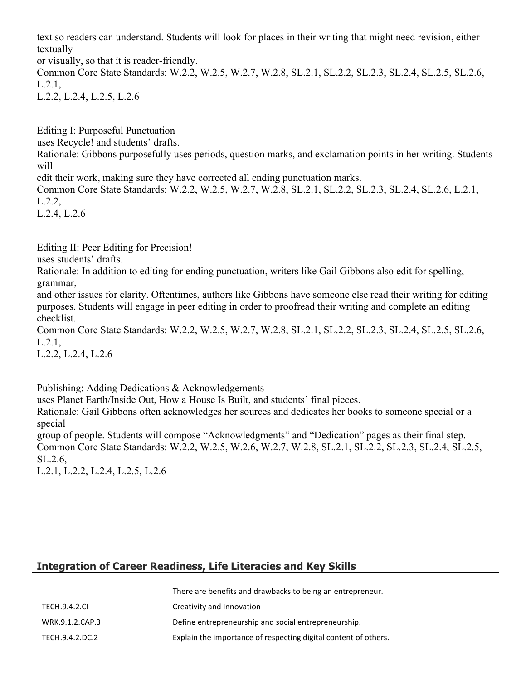text so readers can understand. Students will look for places in their writing that might need revision, either textually

or visually, so that it is reader-friendly.

Common Core State Standards: W.2.2, W.2.5, W.2.7, W.2.8, SL.2.1, SL.2.2, SL.2.3, SL.2.4, SL.2.5, SL.2.6, L.2.1, L.2.2, L.2.4, L.2.5, L.2.6

Editing I: Purposeful Punctuation

uses Recycle! and students' drafts.

Rationale: Gibbons purposefully uses periods, question marks, and exclamation points in her writing. Students will

edit their work, making sure they have corrected all ending punctuation marks.

Common Core State Standards: W.2.2, W.2.5, W.2.7, W.2.8, SL.2.1, SL.2.2, SL.2.3, SL.2.4, SL.2.6, L.2.1, L.2.2,

L.2.4, L.2.6

Editing II: Peer Editing for Precision!

uses students' drafts.

Rationale: In addition to editing for ending punctuation, writers like Gail Gibbons also edit for spelling, grammar,

and other issues for clarity. Oftentimes, authors like Gibbons have someone else read their writing for editing purposes. Students will engage in peer editing in order to proofread their writing and complete an editing checklist.

Common Core State Standards: W.2.2, W.2.5, W.2.7, W.2.8, SL.2.1, SL.2.2, SL.2.3, SL.2.4, SL.2.5, SL.2.6, L.2.1,

L.2.2, L.2.4, L.2.6

Publishing: Adding Dedications & Acknowledgements

uses Planet Earth/Inside Out, How a House Is Built, and students' final pieces.

Rationale: Gail Gibbons often acknowledges her sources and dedicates her books to someone special or a special

group of people. Students will compose "Acknowledgments" and "Dedication" pages as their final step. Common Core State Standards: W.2.2, W.2.5, W.2.6, W.2.7, W.2.8, SL.2.1, SL.2.2, SL.2.3, SL.2.4, SL.2.5, SL.2.6,

L.2.1, L.2.2, L.2.4, L.2.5, L.2.6

# **Integration of Career Readiness, Life Literacies and Key Skills**

|                      | There are benefits and drawbacks to being an entrepreneur.      |
|----------------------|-----------------------------------------------------------------|
| <b>TECH.9.4.2.CL</b> | Creativity and Innovation                                       |
| WRK.9.1.2.CAP.3      | Define entrepreneurship and social entrepreneurship.            |
| TECH.9.4.2.DC.2      | Explain the importance of respecting digital content of others. |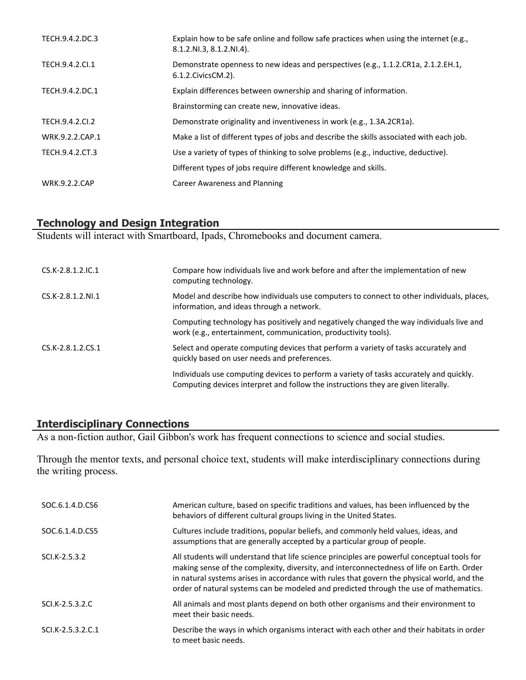| TECH.9.4.2.DC.3      | Explain how to be safe online and follow safe practices when using the internet (e.g.,<br>8.1.2.NI.3, 8.1.2.NI.4). |
|----------------------|--------------------------------------------------------------------------------------------------------------------|
| TECH.9.4.2.Cl.1      | Demonstrate openness to new ideas and perspectives (e.g., 1.1.2.CR1a, 2.1.2.EH.1,<br>6.1.2. Civics CM. 2).         |
| TECH.9.4.2.DC.1      | Explain differences between ownership and sharing of information.                                                  |
|                      | Brainstorming can create new, innovative ideas.                                                                    |
| TECH.9.4.2.CI.2      | Demonstrate originality and inventiveness in work (e.g., 1.3A.2CR1a).                                              |
| WRK.9.2.2.CAP.1      | Make a list of different types of jobs and describe the skills associated with each job.                           |
| TECH.9.4.2.CT.3      | Use a variety of types of thinking to solve problems (e.g., inductive, deductive).                                 |
|                      | Different types of jobs require different knowledge and skills.                                                    |
| <b>WRK.9.2.2.CAP</b> | Career Awareness and Planning                                                                                      |

# **Technology and Design Integration**

Students will interact with Smartboard, Ipads, Chromebooks and document camera.

| $CS.K-2.8.1.2.1C.1$ | Compare how individuals live and work before and after the implementation of new<br>computing technology.                                                                    |
|---------------------|------------------------------------------------------------------------------------------------------------------------------------------------------------------------------|
| $CS.K-2.8.1.2.NI.1$ | Model and describe how individuals use computers to connect to other individuals, places,<br>information, and ideas through a network.                                       |
|                     | Computing technology has positively and negatively changed the way individuals live and<br>work (e.g., entertainment, communication, productivity tools).                    |
| $CS.K-2.8.1.2.CS.1$ | Select and operate computing devices that perform a variety of tasks accurately and<br>quickly based on user needs and preferences.                                          |
|                     | Individuals use computing devices to perform a variety of tasks accurately and quickly.<br>Computing devices interpret and follow the instructions they are given literally. |

# **Interdisciplinary Connections**

As a non-fiction author, Gail Gibbon's work has frequent connections to science and social studies.

Through the mentor texts, and personal choice text, students will make interdisciplinary connections during the writing process.

| SOC.6.1.4.D.CS6   | American culture, based on specific traditions and values, has been influenced by the<br>behaviors of different cultural groups living in the United States.                                                                                                                                                                                                                    |
|-------------------|---------------------------------------------------------------------------------------------------------------------------------------------------------------------------------------------------------------------------------------------------------------------------------------------------------------------------------------------------------------------------------|
| SOC.6.1.4.D.CS5   | Cultures include traditions, popular beliefs, and commonly held values, ideas, and<br>assumptions that are generally accepted by a particular group of people.                                                                                                                                                                                                                  |
| SCI.K-2.5.3.2     | All students will understand that life science principles are powerful conceptual tools for<br>making sense of the complexity, diversity, and interconnectedness of life on Earth. Order<br>in natural systems arises in accordance with rules that govern the physical world, and the<br>order of natural systems can be modeled and predicted through the use of mathematics. |
| SCI.K-2.5.3.2.C   | All animals and most plants depend on both other organisms and their environment to<br>meet their basic needs.                                                                                                                                                                                                                                                                  |
| SCI.K-2.5.3.2.C.1 | Describe the ways in which organisms interact with each other and their habitats in order<br>to meet basic needs.                                                                                                                                                                                                                                                               |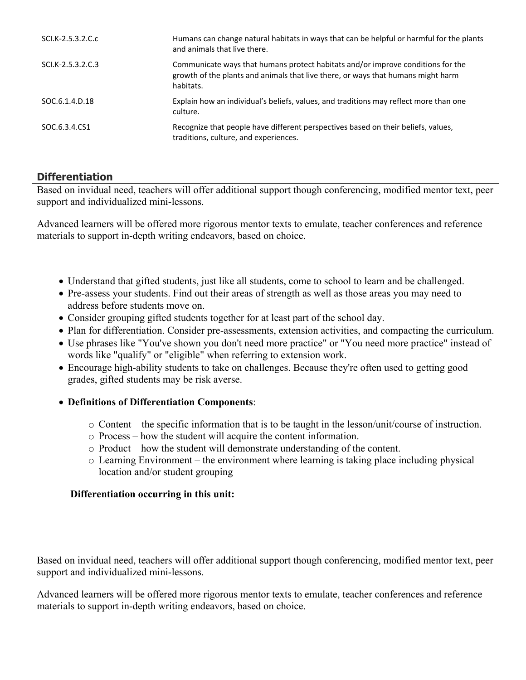| SCI.K-2.5.3.2.C.c | Humans can change natural habitats in ways that can be helpful or harmful for the plants<br>and animals that live there.                                                         |
|-------------------|----------------------------------------------------------------------------------------------------------------------------------------------------------------------------------|
| SCI.K-2.5.3.2.C.3 | Communicate ways that humans protect habitats and/or improve conditions for the<br>growth of the plants and animals that live there, or ways that humans might harm<br>habitats. |
| SOC.6.1.4.D.18    | Explain how an individual's beliefs, values, and traditions may reflect more than one<br>culture.                                                                                |
| SOC.6.3.4.CS1     | Recognize that people have different perspectives based on their beliefs, values,<br>traditions, culture, and experiences.                                                       |

# **Differentiation**

Based on invidual need, teachers will offer additional support though conferencing, modified mentor text, peer support and individualized mini-lessons.

Advanced learners will be offered more rigorous mentor texts to emulate, teacher conferences and reference materials to support in-depth writing endeavors, based on choice.

- Understand that gifted students, just like all students, come to school to learn and be challenged.
- Pre-assess your students. Find out their areas of strength as well as those areas you may need to address before students move on.
- Consider grouping gifted students together for at least part of the school day.
- Plan for differentiation. Consider pre-assessments, extension activities, and compacting the curriculum.
- Use phrases like "You've shown you don't need more practice" or "You need more practice" instead of words like "qualify" or "eligible" when referring to extension work.
- Encourage high-ability students to take on challenges. Because they're often used to getting good grades, gifted students may be risk averse.
- **Definitions of Differentiation Components**:
	- o Content the specific information that is to be taught in the lesson/unit/course of instruction.
	- o Process how the student will acquire the content information.
	- o Product how the student will demonstrate understanding of the content.
	- o Learning Environment the environment where learning is taking place including physical location and/or student grouping

#### **Differentiation occurring in this unit:**

Based on invidual need, teachers will offer additional support though conferencing, modified mentor text, peer support and individualized mini-lessons.

Advanced learners will be offered more rigorous mentor texts to emulate, teacher conferences and reference materials to support in-depth writing endeavors, based on choice.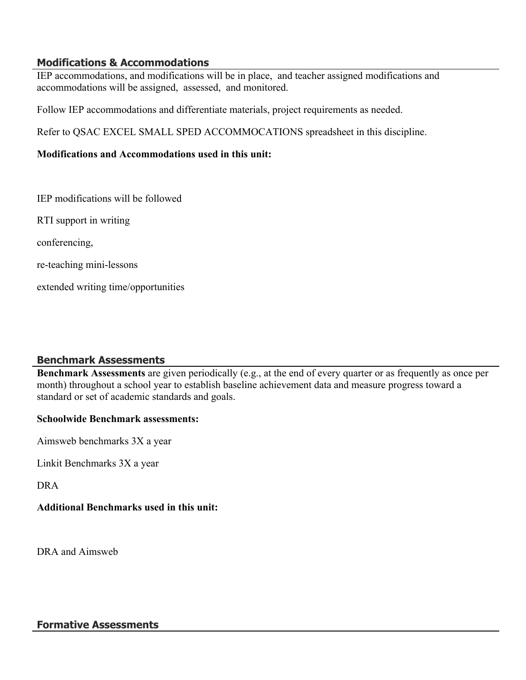### **Modifications & Accommodations**

IEP accommodations, and modifications will be in place, and teacher assigned modifications and accommodations will be assigned, assessed, and monitored.

Follow IEP accommodations and differentiate materials, project requirements as needed.

Refer to QSAC EXCEL SMALL SPED ACCOMMOCATIONS spreadsheet in this discipline.

#### **Modifications and Accommodations used in this unit:**

IEP modifications will be followed

RTI support in writing

conferencing,

re-teaching mini-lessons

extended writing time/opportunities

#### **Benchmark Assessments**

**Benchmark Assessments** are given periodically (e.g., at the end of every quarter or as frequently as once per month) throughout a school year to establish baseline achievement data and measure progress toward a standard or set of academic standards and goals.

#### **Schoolwide Benchmark assessments:**

Aimsweb benchmarks 3X a year

Linkit Benchmarks 3X a year

DRA

#### **Additional Benchmarks used in this unit:**

DRA and Aimsweb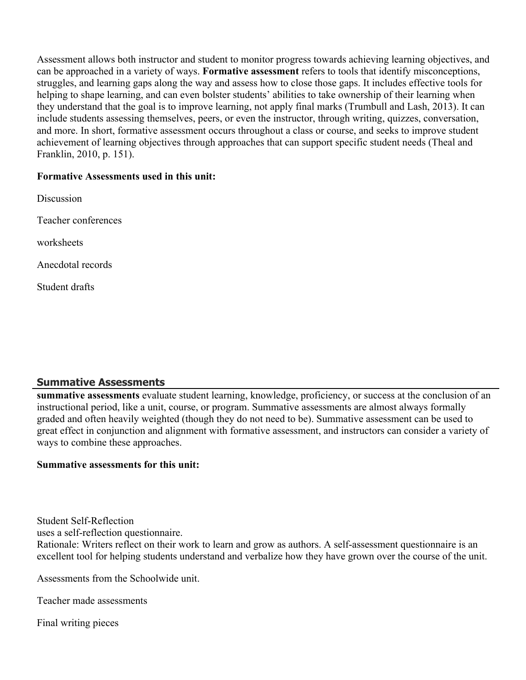Assessment allows both instructor and student to monitor progress towards achieving learning objectives, and can be approached in a variety of ways. **Formative assessment** refers to tools that identify misconceptions, struggles, and learning gaps along the way and assess how to close those gaps. It includes effective tools for helping to shape learning, and can even bolster students' abilities to take ownership of their learning when they understand that the goal is to improve learning, not apply final marks (Trumbull and Lash, 2013). It can include students assessing themselves, peers, or even the instructor, through writing, quizzes, conversation, and more. In short, formative assessment occurs throughout a class or course, and seeks to improve student achievement of learning objectives through approaches that can support specific student needs (Theal and Franklin, 2010, p. 151).

#### **Formative Assessments used in this unit:**

Discussion Teacher conferences worksheets Anecdotal records Student drafts

# **Summative Assessments**

**summative assessments** evaluate student learning, knowledge, proficiency, or success at the conclusion of an instructional period, like a unit, course, or program. Summative assessments are almost always formally graded and often heavily weighted (though they do not need to be). Summative assessment can be used to great effect in conjunction and alignment with formative assessment, and instructors can consider a variety of ways to combine these approaches.

#### **Summative assessments for this unit:**

Student Self-Reflection

uses a self-reflection questionnaire.

Rationale: Writers reflect on their work to learn and grow as authors. A self-assessment questionnaire is an excellent tool for helping students understand and verbalize how they have grown over the course of the unit.

Assessments from the Schoolwide unit.

Teacher made assessments

Final writing pieces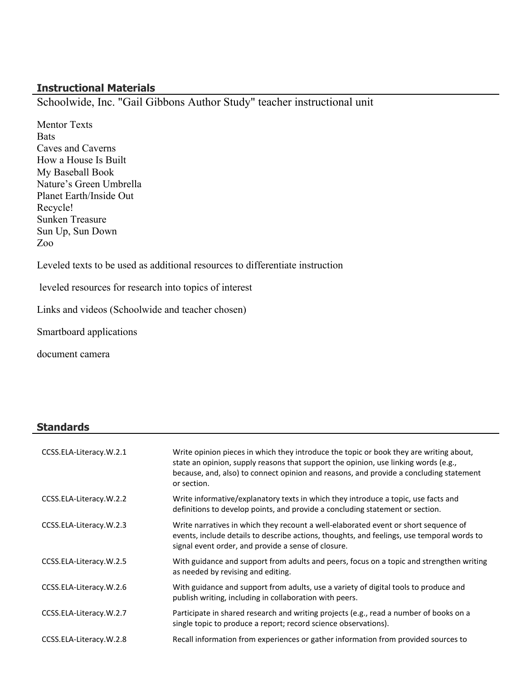### **Instructional Materials**

Schoolwide, Inc. "Gail Gibbons Author Study" teacher instructional unit

Mentor Texts **Bats** Caves and Caverns How a House Is Built My Baseball Book Nature's Green Umbrella Planet Earth/Inside Out Recycle! Sunken Treasure Sun Up, Sun Down Zoo

Leveled texts to be used as additional resources to differentiate instruction

leveled resources for research into topics of interest

Links and videos (Schoolwide and teacher chosen)

Smartboard applications

document camera

#### **Standards**

| CCSS.ELA-Literacy.W.2.1 | Write opinion pieces in which they introduce the topic or book they are writing about,<br>state an opinion, supply reasons that support the opinion, use linking words (e.g.,<br>because, and, also) to connect opinion and reasons, and provide a concluding statement<br>or section. |
|-------------------------|----------------------------------------------------------------------------------------------------------------------------------------------------------------------------------------------------------------------------------------------------------------------------------------|
| CCSS.ELA-Literacy.W.2.2 | Write informative/explanatory texts in which they introduce a topic, use facts and<br>definitions to develop points, and provide a concluding statement or section.                                                                                                                    |
| CCSS.ELA-Literacy.W.2.3 | Write narratives in which they recount a well-elaborated event or short sequence of<br>events, include details to describe actions, thoughts, and feelings, use temporal words to<br>signal event order, and provide a sense of closure.                                               |
| CCSS.ELA-Literacy.W.2.5 | With guidance and support from adults and peers, focus on a topic and strengthen writing<br>as needed by revising and editing.                                                                                                                                                         |
| CCSS.ELA-Literacy.W.2.6 | With guidance and support from adults, use a variety of digital tools to produce and<br>publish writing, including in collaboration with peers.                                                                                                                                        |
| CCSS.ELA-Literacy.W.2.7 | Participate in shared research and writing projects (e.g., read a number of books on a<br>single topic to produce a report; record science observations).                                                                                                                              |
| CCSS.ELA-Literacy.W.2.8 | Recall information from experiences or gather information from provided sources to                                                                                                                                                                                                     |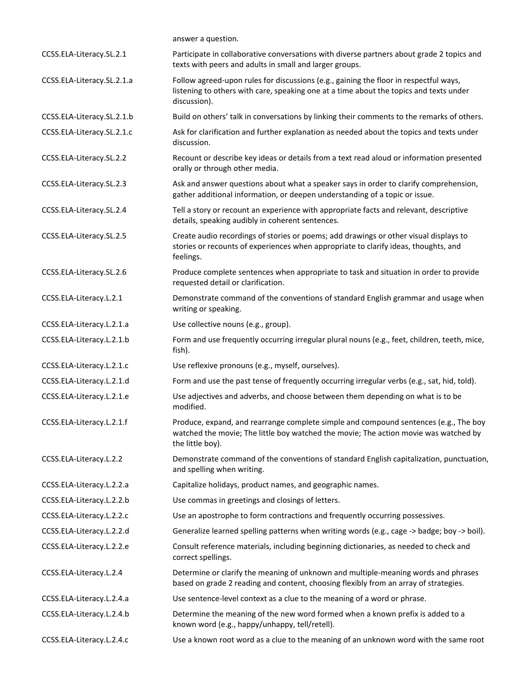|                            | answer a question.                                                                                                                                                                               |
|----------------------------|--------------------------------------------------------------------------------------------------------------------------------------------------------------------------------------------------|
| CCSS.ELA-Literacy.SL.2.1   | Participate in collaborative conversations with diverse partners about grade 2 topics and<br>texts with peers and adults in small and larger groups.                                             |
| CCSS.ELA-Literacy.SL.2.1.a | Follow agreed-upon rules for discussions (e.g., gaining the floor in respectful ways,<br>listening to others with care, speaking one at a time about the topics and texts under<br>discussion).  |
| CCSS.ELA-Literacy.SL.2.1.b | Build on others' talk in conversations by linking their comments to the remarks of others.                                                                                                       |
| CCSS.ELA-Literacy.SL.2.1.c | Ask for clarification and further explanation as needed about the topics and texts under<br>discussion.                                                                                          |
| CCSS.ELA-Literacy.SL.2.2   | Recount or describe key ideas or details from a text read aloud or information presented<br>orally or through other media.                                                                       |
| CCSS.ELA-Literacy.SL.2.3   | Ask and answer questions about what a speaker says in order to clarify comprehension,<br>gather additional information, or deepen understanding of a topic or issue.                             |
| CCSS.ELA-Literacy.SL.2.4   | Tell a story or recount an experience with appropriate facts and relevant, descriptive<br>details, speaking audibly in coherent sentences.                                                       |
| CCSS.ELA-Literacy.SL.2.5   | Create audio recordings of stories or poems; add drawings or other visual displays to<br>stories or recounts of experiences when appropriate to clarify ideas, thoughts, and<br>feelings.        |
| CCSS.ELA-Literacy.SL.2.6   | Produce complete sentences when appropriate to task and situation in order to provide<br>requested detail or clarification.                                                                      |
| CCSS.ELA-Literacy.L.2.1    | Demonstrate command of the conventions of standard English grammar and usage when<br>writing or speaking.                                                                                        |
| CCSS.ELA-Literacy.L.2.1.a  | Use collective nouns (e.g., group).                                                                                                                                                              |
| CCSS.ELA-Literacy.L.2.1.b  | Form and use frequently occurring irregular plural nouns (e.g., feet, children, teeth, mice,<br>fish).                                                                                           |
| CCSS.ELA-Literacy.L.2.1.c  | Use reflexive pronouns (e.g., myself, ourselves).                                                                                                                                                |
| CCSS.ELA-Literacy.L.2.1.d  | Form and use the past tense of frequently occurring irregular verbs (e.g., sat, hid, told).                                                                                                      |
| CCSS.ELA-Literacy.L.2.1.e  | Use adjectives and adverbs, and choose between them depending on what is to be<br>modified.                                                                                                      |
| CCSS.ELA-Literacy.L.2.1.f  | Produce, expand, and rearrange complete simple and compound sentences (e.g., The boy<br>watched the movie; The little boy watched the movie; The action movie was watched by<br>the little boy). |
| CCSS.ELA-Literacy.L.2.2    | Demonstrate command of the conventions of standard English capitalization, punctuation,<br>and spelling when writing.                                                                            |
| CCSS.ELA-Literacy.L.2.2.a  | Capitalize holidays, product names, and geographic names.                                                                                                                                        |
| CCSS.ELA-Literacy.L.2.2.b  | Use commas in greetings and closings of letters.                                                                                                                                                 |
| CCSS.ELA-Literacy.L.2.2.c  | Use an apostrophe to form contractions and frequently occurring possessives.                                                                                                                     |
| CCSS.ELA-Literacy.L.2.2.d  | Generalize learned spelling patterns when writing words (e.g., cage -> badge; boy -> boil).                                                                                                      |
| CCSS.ELA-Literacy.L.2.2.e  | Consult reference materials, including beginning dictionaries, as needed to check and<br>correct spellings.                                                                                      |
| CCSS.ELA-Literacy.L.2.4    | Determine or clarify the meaning of unknown and multiple-meaning words and phrases<br>based on grade 2 reading and content, choosing flexibly from an array of strategies.                       |
| CCSS.ELA-Literacy.L.2.4.a  | Use sentence-level context as a clue to the meaning of a word or phrase.                                                                                                                         |
| CCSS.ELA-Literacy.L.2.4.b  | Determine the meaning of the new word formed when a known prefix is added to a<br>known word (e.g., happy/unhappy, tell/retell).                                                                 |
| CCSS.ELA-Literacy.L.2.4.c  | Use a known root word as a clue to the meaning of an unknown word with the same root                                                                                                             |